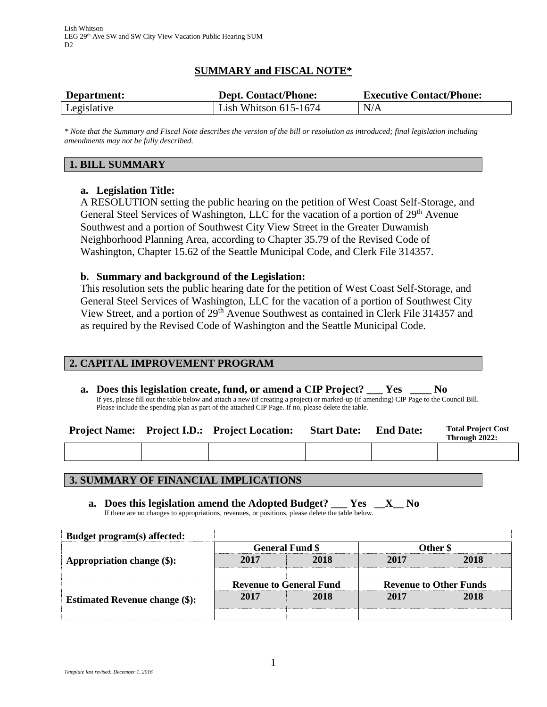# **SUMMARY and FISCAL NOTE\***

| Department: | <b>Dept. Contact/Phone:</b> | <b>Executive Contact/Phone:</b> |  |  |
|-------------|-----------------------------|---------------------------------|--|--|
| Legislative | Lish Whitson $615-1674$     | N/A                             |  |  |

*\* Note that the Summary and Fiscal Note describes the version of the bill or resolution as introduced; final legislation including amendments may not be fully described.*

### **1. BILL SUMMARY**

## **a. Legislation Title:**

A RESOLUTION setting the public hearing on the petition of West Coast Self-Storage, and General Steel Services of Washington, LLC for the vacation of a portion of 29<sup>th</sup> Avenue Southwest and a portion of Southwest City View Street in the Greater Duwamish Neighborhood Planning Area, according to Chapter 35.79 of the Revised Code of Washington, Chapter 15.62 of the Seattle Municipal Code, and Clerk File 314357.

### **b. Summary and background of the Legislation:**

This resolution sets the public hearing date for the petition of West Coast Self-Storage, and General Steel Services of Washington, LLC for the vacation of a portion of Southwest City View Street, and a portion of 29<sup>th</sup> Avenue Southwest as contained in Clerk File 314357 and as required by the Revised Code of Washington and the Seattle Municipal Code.

### **2. CAPITAL IMPROVEMENT PROGRAM**

**a. Does this legislation create, fund, or amend a CIP Project? \_\_\_ Yes \_\_\_\_ No** If yes, please fill out the table below and attach a new (if creating a project) or marked-up (if amending) CIP Page to the Council Bill. Please include the spending plan as part of the attached CIP Page. If no, please delete the table.

|  | <b>Project Name:</b> Project I.D.: Project Location: | <b>Start Date:</b> | <b>End Date:</b> | <b>Total Project Cost</b><br>Through 2022: |
|--|------------------------------------------------------|--------------------|------------------|--------------------------------------------|
|  |                                                      |                    |                  |                                            |

### **3. SUMMARY OF FINANCIAL IMPLICATIONS**

**a. Does this legislation amend the Adopted Budget? \_\_\_ Yes \_\_X\_\_ No** If there are no changes to appropriations, revenues, or positions, please delete the table below.

| Budget program(s) affected:           |                                |      |                               |      |
|---------------------------------------|--------------------------------|------|-------------------------------|------|
|                                       | <b>General Fund \$</b>         |      | Other \$                      |      |
| Appropriation change (\$):            | 2017                           | 2018 | 2017                          | 2018 |
|                                       |                                |      |                               |      |
|                                       | <b>Revenue to General Fund</b> |      | <b>Revenue to Other Funds</b> |      |
| <b>Estimated Revenue change (\$):</b> | 2017                           | 2018 | 2017                          | 2018 |
|                                       |                                |      |                               |      |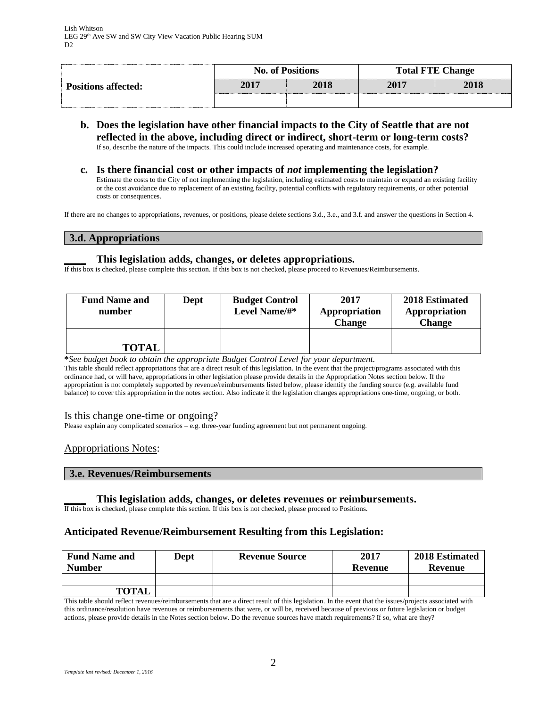| <b>Positions affected:</b> |      | <b>No. of Positions</b> | <b>Total FTE Change</b> |      |  |
|----------------------------|------|-------------------------|-------------------------|------|--|
|                            | 2017 | 2018                    | 2017                    | 2018 |  |
|                            |      |                         |                         |      |  |

- **b. Does the legislation have other financial impacts to the City of Seattle that are not reflected in the above, including direct or indirect, short-term or long-term costs?** If so, describe the nature of the impacts. This could include increased operating and maintenance costs, for example.
- **c. Is there financial cost or other impacts of** *not* **implementing the legislation?** Estimate the costs to the City of not implementing the legislation, including estimated costs to maintain or expand an existing facility or the cost avoidance due to replacement of an existing facility, potential conflicts with regulatory requirements, or other potential

If there are no changes to appropriations, revenues, or positions, please delete sections 3.d., 3.e., and 3.f. and answer the questions in Section 4.

#### **3.d. Appropriations**

costs or consequences.

#### **\_\_\_\_ This legislation adds, changes, or deletes appropriations.**

If this box is checked, please complete this section. If this box is not checked, please proceed to Revenues/Reimbursements.

| <b>Fund Name and</b><br>number | Dept | <b>Budget Control</b><br>Level Name/#* | 2017<br>Appropriation<br><b>Change</b> | 2018 Estimated<br>Appropriation<br><b>Change</b> |
|--------------------------------|------|----------------------------------------|----------------------------------------|--------------------------------------------------|
|                                |      |                                        |                                        |                                                  |
| <b>TOTAL</b>                   |      |                                        |                                        |                                                  |

**\****See budget book to obtain the appropriate Budget Control Level for your department.*

This table should reflect appropriations that are a direct result of this legislation. In the event that the project/programs associated with this ordinance had, or will have, appropriations in other legislation please provide details in the Appropriation Notes section below. If the appropriation is not completely supported by revenue/reimbursements listed below, please identify the funding source (e.g. available fund balance) to cover this appropriation in the notes section. Also indicate if the legislation changes appropriations one-time, ongoing, or both.

#### Is this change one-time or ongoing?

Please explain any complicated scenarios – e.g. three-year funding agreement but not permanent ongoing.

#### Appropriations Notes:

#### **3.e. Revenues/Reimbursements**

#### **\_\_\_\_ This legislation adds, changes, or deletes revenues or reimbursements.**

If this box is checked, please complete this section. If this box is not checked, please proceed to Positions.

#### **Anticipated Revenue/Reimbursement Resulting from this Legislation:**

| <b>Fund Name and</b><br><b>Number</b> | <b>Dept</b> | <b>Revenue Source</b> | 2017<br>Revenue | 2018 Estimated<br><b>Revenue</b> |
|---------------------------------------|-------------|-----------------------|-----------------|----------------------------------|
|                                       |             |                       |                 |                                  |
| <b>TOTAL</b>                          |             |                       |                 |                                  |

This table should reflect revenues/reimbursements that are a direct result of this legislation. In the event that the issues/projects associated with this ordinance/resolution have revenues or reimbursements that were, or will be, received because of previous or future legislation or budget actions, please provide details in the Notes section below. Do the revenue sources have match requirements? If so, what are they?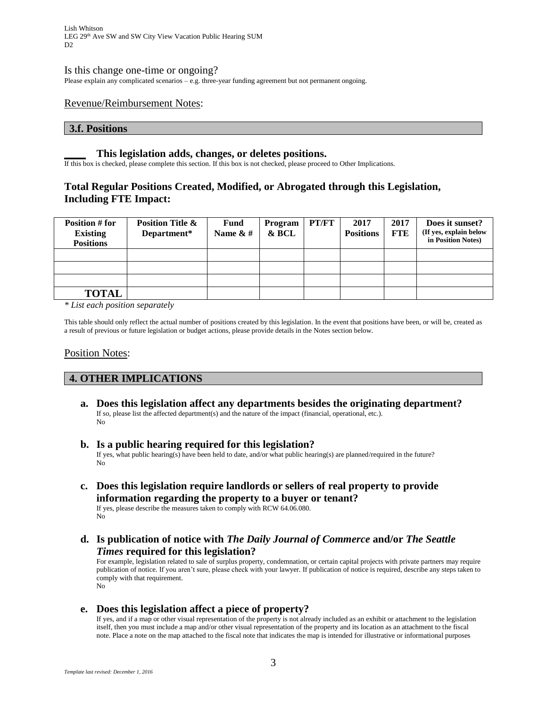Lish Whitson LEG 29th Ave SW and SW City View Vacation Public Hearing SUM  $D2$ 

#### Is this change one-time or ongoing?

Please explain any complicated scenarios – e.g. three-year funding agreement but not permanent ongoing.

#### Revenue/Reimbursement Notes:

#### **3.f. Positions**

#### **\_\_\_\_ This legislation adds, changes, or deletes positions.**

If this box is checked, please complete this section. If this box is not checked, please proceed to Other Implications.

### **Total Regular Positions Created, Modified, or Abrogated through this Legislation, Including FTE Impact:**

| <b>Position # for</b><br><b>Existing</b><br><b>Positions</b> | <b>Position Title &amp;</b><br>Department* | Fund<br>Name $\&$ # | Program<br>& BCL | PT/FT | 2017<br><b>Positions</b> | 2017<br><b>FTE</b> | Does it sunset?<br>(If yes, explain below<br>in Position Notes) |
|--------------------------------------------------------------|--------------------------------------------|---------------------|------------------|-------|--------------------------|--------------------|-----------------------------------------------------------------|
|                                                              |                                            |                     |                  |       |                          |                    |                                                                 |
|                                                              |                                            |                     |                  |       |                          |                    |                                                                 |
|                                                              |                                            |                     |                  |       |                          |                    |                                                                 |
| <b>TOTAL</b>                                                 |                                            |                     |                  |       |                          |                    |                                                                 |

*\* List each position separately*

This table should only reflect the actual number of positions created by this legislation. In the event that positions have been, or will be, created as a result of previous or future legislation or budget actions, please provide details in the Notes section below.

#### Position Notes:

No

### **4. OTHER IMPLICATIONS**

- **a. Does this legislation affect any departments besides the originating department?** If so, please list the affected department(s) and the nature of the impact (financial, operational, etc.). No
- **b. Is a public hearing required for this legislation?** If yes, what public hearing(s) have been held to date, and/or what public hearing(s) are planned/required in the future? No
- **c. Does this legislation require landlords or sellers of real property to provide information regarding the property to a buyer or tenant?** If yes, please describe the measures taken to comply with RCW 64.06.080.
- **d. Is publication of notice with** *The Daily Journal of Commerce* **and/or** *The Seattle Times* **required for this legislation?**

For example, legislation related to sale of surplus property, condemnation, or certain capital projects with private partners may require publication of notice. If you aren't sure, please check with your lawyer. If publication of notice is required, describe any steps taken to comply with that requirement. No

#### **e. Does this legislation affect a piece of property?**

If yes, and if a map or other visual representation of the property is not already included as an exhibit or attachment to the legislation itself, then you must include a map and/or other visual representation of the property and its location as an attachment to the fiscal note. Place a note on the map attached to the fiscal note that indicates the map is intended for illustrative or informational purposes